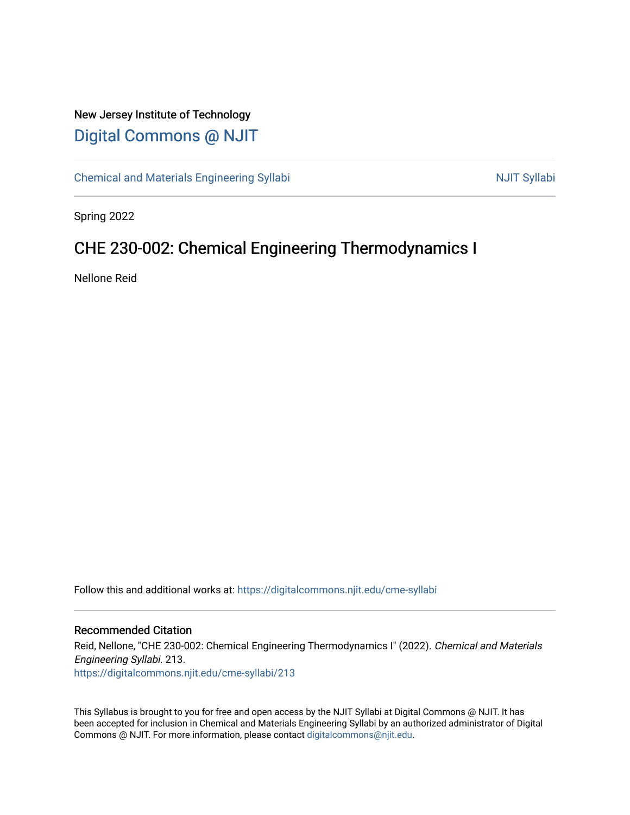### New Jersey Institute of Technology [Digital Commons @ NJIT](https://digitalcommons.njit.edu/)

[Chemical and Materials Engineering Syllabi](https://digitalcommons.njit.edu/cme-syllabi) Nulle and Syllabi Nulle Syllabi Nulle Syllabi Nulle Syllabi Nulle Syllabi

Spring 2022

## CHE 230-002: Chemical Engineering Thermodynamics I

Nellone Reid

Follow this and additional works at: [https://digitalcommons.njit.edu/cme-syllabi](https://digitalcommons.njit.edu/cme-syllabi?utm_source=digitalcommons.njit.edu%2Fcme-syllabi%2F213&utm_medium=PDF&utm_campaign=PDFCoverPages) 

#### Recommended Citation

Reid, Nellone, "CHE 230-002: Chemical Engineering Thermodynamics I" (2022). Chemical and Materials Engineering Syllabi. 213. [https://digitalcommons.njit.edu/cme-syllabi/213](https://digitalcommons.njit.edu/cme-syllabi/213?utm_source=digitalcommons.njit.edu%2Fcme-syllabi%2F213&utm_medium=PDF&utm_campaign=PDFCoverPages) 

This Syllabus is brought to you for free and open access by the NJIT Syllabi at Digital Commons @ NJIT. It has been accepted for inclusion in Chemical and Materials Engineering Syllabi by an authorized administrator of Digital Commons @ NJIT. For more information, please contact [digitalcommons@njit.edu.](mailto:digitalcommons@njit.edu)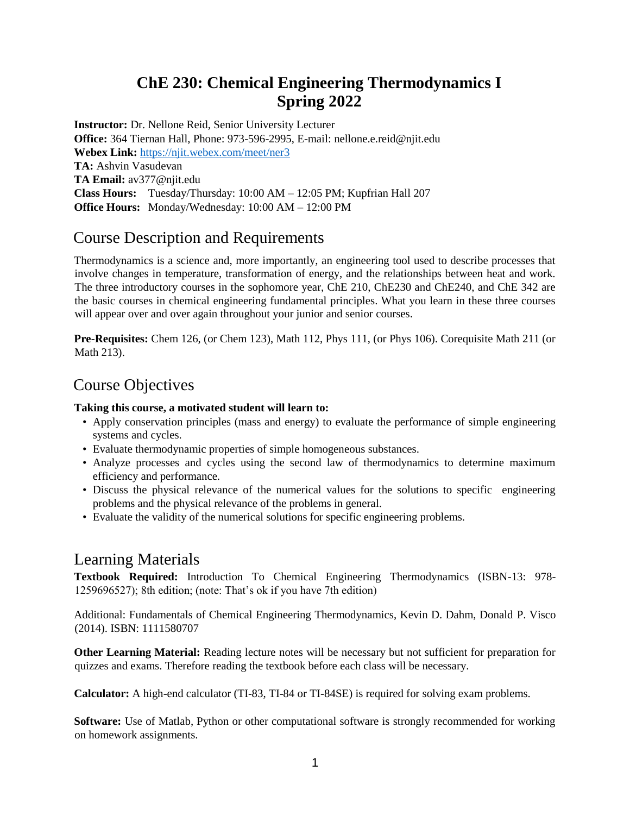## **ChE 230: Chemical Engineering Thermodynamics I Spring 2022**

**Instructor:** Dr. Nellone Reid, Senior University Lecturer **Office:** 364 Tiernan Hall, Phone: 973-596-2995, E-mail: nellone.e.reid@njit.edu **Webex Link:** <https://njit.webex.com/meet/ner3> **TA:** Ashvin Vasudevan **TA Email:** av377@njit.edu **Class Hours:** Tuesday/Thursday: 10:00 AM – 12:05 PM; Kupfrian Hall 207 **Office Hours:** Monday/Wednesday: 10:00 AM – 12:00 PM

#### Course Description and Requirements

Thermodynamics is a science and, more importantly, an engineering tool used to describe processes that involve changes in temperature, transformation of energy, and the relationships between heat and work. The three introductory courses in the sophomore year, ChE 210, ChE230 and ChE240, and ChE 342 are the basic courses in chemical engineering fundamental principles. What you learn in these three courses will appear over and over again throughout your junior and senior courses.

**Pre-Requisites:** Chem 126, (or Chem 123), Math 112, Phys 111, (or Phys 106). Corequisite Math 211 (or Math 213).

#### Course Objectives

#### **Taking this course, a motivated student will learn to:**

- Apply conservation principles (mass and energy) to evaluate the performance of simple engineering systems and cycles.
- Evaluate thermodynamic properties of simple homogeneous substances.
- Analyze processes and cycles using the second law of thermodynamics to determine maximum efficiency and performance.
- Discuss the physical relevance of the numerical values for the solutions to specific engineering problems and the physical relevance of the problems in general.
- Evaluate the validity of the numerical solutions for specific engineering problems.

#### Learning Materials

**Textbook Required:** Introduction To Chemical Engineering Thermodynamics (ISBN-13: 978- 1259696527); 8th edition; (note: That's ok if you have 7th edition)

Additional: Fundamentals of Chemical Engineering Thermodynamics, Kevin D. Dahm, Donald P. Visco (2014). ISBN: 1111580707

**Other Learning Material:** Reading lecture notes will be necessary but not sufficient for preparation for quizzes and exams. Therefore reading the textbook before each class will be necessary.

**Calculator:** A high-end calculator (TI-83, TI-84 or TI-84SE) is required for solving exam problems.

**Software:** Use of Matlab, Python or other computational software is strongly recommended for working on homework assignments.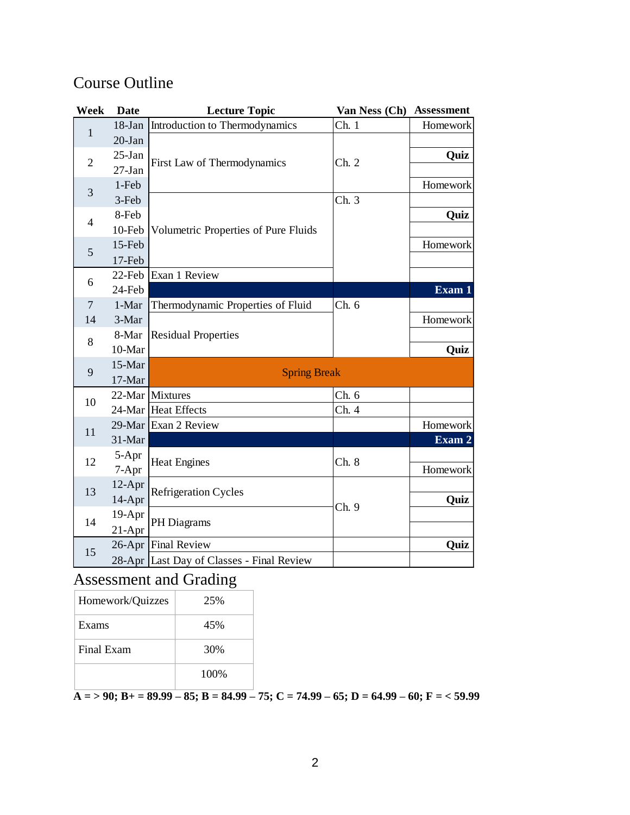# Course Outline

| Week           | <b>Date</b> | <b>Lecture Topic</b>                      | Van Ness (Ch) | <b>Assessment</b> |  |
|----------------|-------------|-------------------------------------------|---------------|-------------------|--|
| $\mathbf{1}$   | $18$ -Jan   | Introduction to Thermodynamics            | Ch.1          | Homework          |  |
|                | $20-Ian$    |                                           |               |                   |  |
| $\overline{2}$ | $25-Ian$    | First Law of Thermodynamics               | Ch. 2         | Quiz              |  |
|                | $27-Ian$    |                                           |               |                   |  |
| 3              | 1-Feb       |                                           |               | Homework          |  |
|                | 3-Feb       |                                           | Ch.3          |                   |  |
| $\overline{4}$ | 8-Feb       | Volumetric Properties of Pure Fluids      |               | Quiz              |  |
|                | 10-Feb      |                                           |               |                   |  |
| 5              | 15-Feb      |                                           |               | Homework          |  |
|                | 17-Feb      |                                           |               |                   |  |
| 6              |             | 22-Feb Exan 1 Review                      |               |                   |  |
|                | 24-Feb      |                                           |               | Exam 1            |  |
| $\overline{7}$ | 1-Mar       | Thermodynamic Properties of Fluid         | Ch. 6         |                   |  |
| 14             | 3-Mar       |                                           |               | Homework          |  |
| 8              | 8-Mar       | <b>Residual Properties</b>                |               |                   |  |
|                | 10-Mar      |                                           |               | Quiz              |  |
| 9              | 15-Mar      | <b>Spring Break</b>                       |               |                   |  |
|                | 17-Mar      |                                           |               |                   |  |
| 10             |             | 22-Mar Mixtures                           | Ch. 6         |                   |  |
|                |             | 24-Mar Heat Effects                       | Ch. 4         |                   |  |
| 11             |             | 29-Mar Exan 2 Review                      |               | Homework          |  |
|                | 31-Mar      |                                           |               | Exam 2            |  |
| 12             | 5-Apr       | <b>Heat Engines</b>                       | Ch. 8         |                   |  |
|                | 7-Apr       |                                           |               | Homework          |  |
| 13             | 12-Apr      | <b>Refrigeration Cycles</b>               | Ch. 9         |                   |  |
|                | 14-Apr      |                                           |               | Quiz              |  |
| 14             | 19-Apr      | PH Diagrams                               |               |                   |  |
|                | $21-Apr$    |                                           |               |                   |  |
| 15             |             | 26-Apr Final Review                       |               | Quiz              |  |
|                |             | 28-Apr Last Day of Classes - Final Review |               |                   |  |

# Assessment and Grading

| Homework/Quizzes | 25%   |
|------------------|-------|
| Exams            | 45%   |
| Final Exam       | 30%   |
|                  | 100\% |

**A = > 90; B+ = 89.99 – 85; B = 84.99 – 75; C = 74.99 – 65; D = 64.99 – 60; F = < 59.99**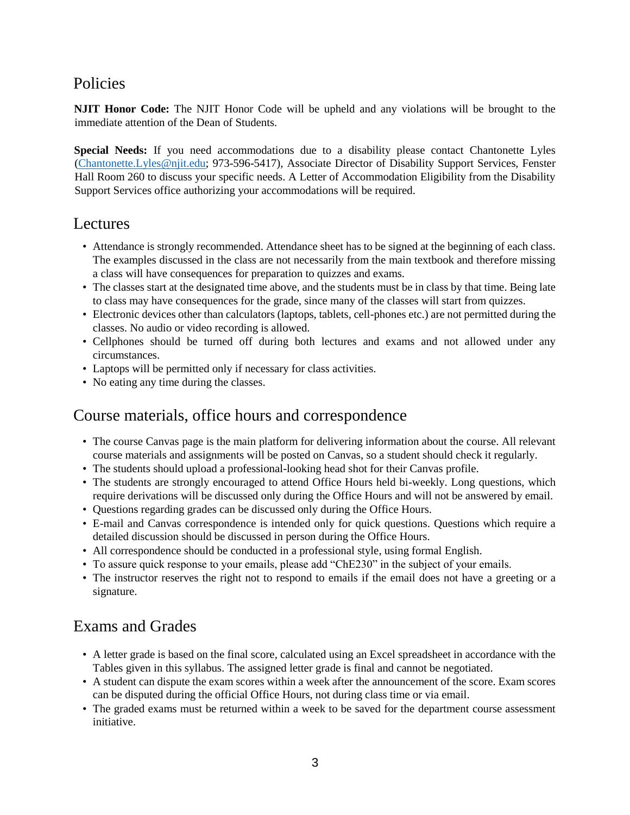### Policies

**NJIT Honor Code:** The NJIT Honor Code will be upheld and any violations will be brought to the immediate attention of the Dean of Students.

**Special Needs:** If you need accommodations due to a disability please contact Chantonette Lyles [\(Chantonette.Lyles@njit.edu;](mailto:Chantonette.Lyles@njit.edu) 973-596-5417), Associate Director of Disability Support Services, Fenster Hall Room 260 to discuss your specific needs. A Letter of Accommodation Eligibility from the Disability Support Services office authorizing your accommodations will be required.

#### Lectures

- Attendance is strongly recommended. Attendance sheet has to be signed at the beginning of each class. The examples discussed in the class are not necessarily from the main textbook and therefore missing a class will have consequences for preparation to quizzes and exams.
- The classes start at the designated time above, and the students must be in class by that time. Being late to class may have consequences for the grade, since many of the classes will start from quizzes.
- Electronic devices other than calculators (laptops, tablets, cell-phones etc.) are not permitted during the classes. No audio or video recording is allowed.
- Cellphones should be turned off during both lectures and exams and not allowed under any circumstances.
- Laptops will be permitted only if necessary for class activities.
- No eating any time during the classes.

#### Course materials, office hours and correspondence

- The course Canvas page is the main platform for delivering information about the course. All relevant course materials and assignments will be posted on Canvas, so a student should check it regularly.
- The students should upload a professional-looking head shot for their Canvas profile.
- The students are strongly encouraged to attend Office Hours held bi-weekly. Long questions, which require derivations will be discussed only during the Office Hours and will not be answered by email.
- Questions regarding grades can be discussed only during the Office Hours.
- E-mail and Canvas correspondence is intended only for quick questions. Questions which require a detailed discussion should be discussed in person during the Office Hours.
- All correspondence should be conducted in a professional style, using formal English.
- To assure quick response to your emails, please add "ChE230" in the subject of your emails.
- The instructor reserves the right not to respond to emails if the email does not have a greeting or a signature.

#### Exams and Grades

- A letter grade is based on the final score, calculated using an Excel spreadsheet in accordance with the Tables given in this syllabus. The assigned letter grade is final and cannot be negotiated.
- A student can dispute the exam scores within a week after the announcement of the score. Exam scores can be disputed during the official Office Hours, not during class time or via email.
- The graded exams must be returned within a week to be saved for the department course assessment initiative.